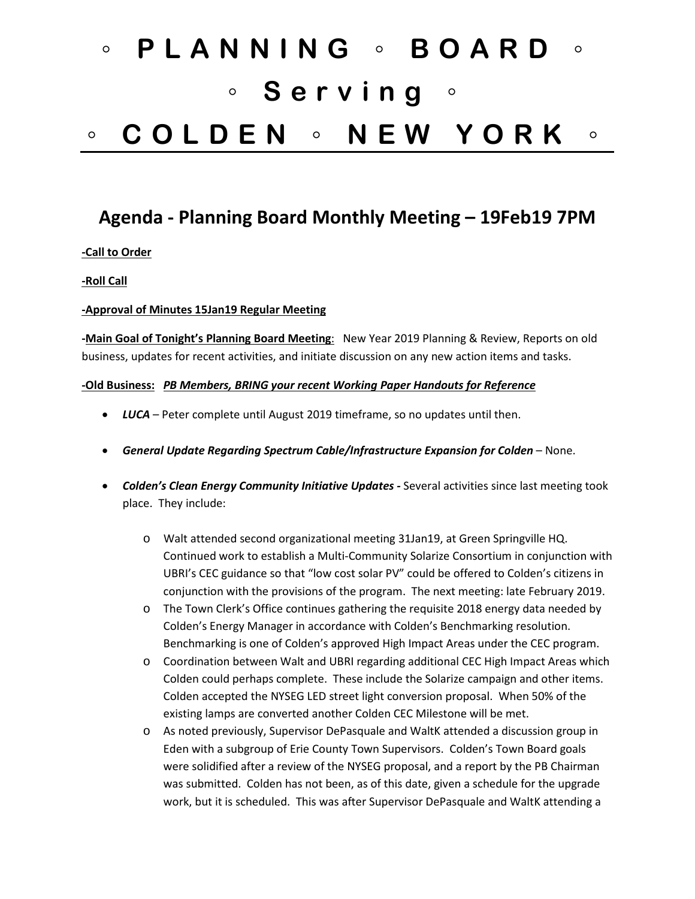# ◦ **PLANNING** ◦ **BOARD** ◦ ◦ **Serving** ◦ ◦ **COLDEN** ◦ **NEW YORK** ◦

# **Agenda - Planning Board Monthly Meeting – 19Feb19 7PM**

### **-Call to Order**

#### **-Roll Call**

#### **-Approval of Minutes 15Jan19 Regular Meeting**

**-Main Goal of Tonight's Planning Board Meeting**: New Year 2019 Planning & Review, Reports on old business, updates for recent activities, and initiate discussion on any new action items and tasks.

#### **-Old Business:** *PB Members, BRING your recent Working Paper Handouts for Reference*

- *LUCA* Peter complete until August 2019 timeframe, so no updates until then.
- *General Update Regarding Spectrum Cable/Infrastructure Expansion for Colden* None.
- *Colden's Clean Energy Community Initiative Updates -* Several activities since last meeting took place. They include:
	- o Walt attended second organizational meeting 31Jan19, at Green Springville HQ. Continued work to establish a Multi-Community Solarize Consortium in conjunction with UBRI's CEC guidance so that "low cost solar PV" could be offered to Colden's citizens in conjunction with the provisions of the program. The next meeting: late February 2019.
	- o The Town Clerk's Office continues gathering the requisite 2018 energy data needed by Colden's Energy Manager in accordance with Colden's Benchmarking resolution. Benchmarking is one of Colden's approved High Impact Areas under the CEC program.
	- o Coordination between Walt and UBRI regarding additional CEC High Impact Areas which Colden could perhaps complete. These include the Solarize campaign and other items. Colden accepted the NYSEG LED street light conversion proposal. When 50% of the existing lamps are converted another Colden CEC Milestone will be met.
	- o As noted previously, Supervisor DePasquale and WaltK attended a discussion group in Eden with a subgroup of Erie County Town Supervisors. Colden's Town Board goals were solidified after a review of the NYSEG proposal, and a report by the PB Chairman was submitted. Colden has not been, as of this date, given a schedule for the upgrade work, but it is scheduled. This was after Supervisor DePasquale and WaltK attending a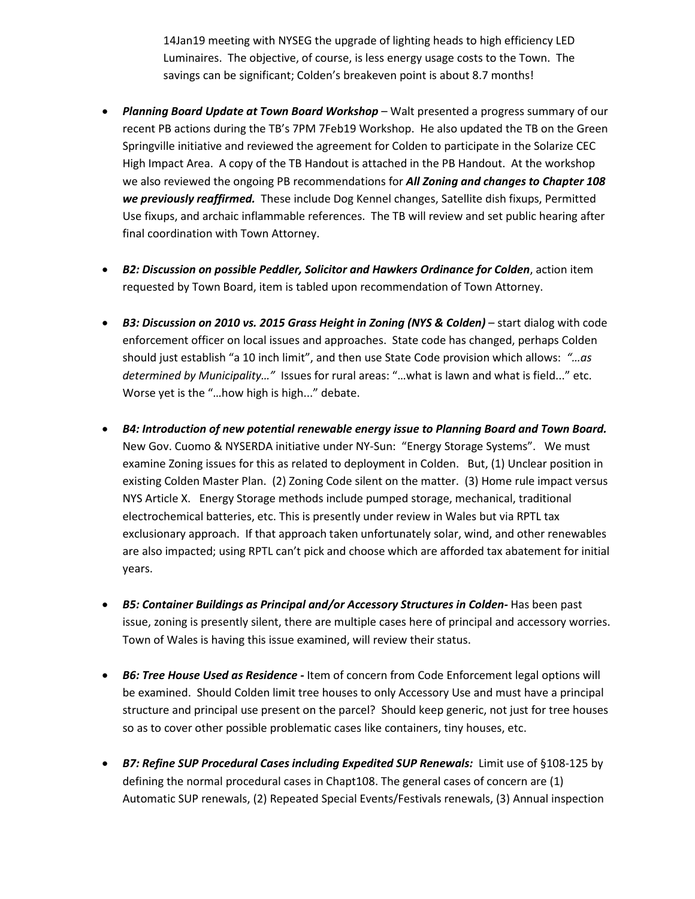14Jan19 meeting with NYSEG the upgrade of lighting heads to high efficiency LED Luminaires. The objective, of course, is less energy usage costs to the Town. The savings can be significant; Colden's breakeven point is about 8.7 months!

- *Planning Board Update at Town Board Workshop* Walt presented a progress summary of our recent PB actions during the TB's 7PM 7Feb19 Workshop. He also updated the TB on the Green Springville initiative and reviewed the agreement for Colden to participate in the Solarize CEC High Impact Area. A copy of the TB Handout is attached in the PB Handout. At the workshop we also reviewed the ongoing PB recommendations for *All Zoning and changes to Chapter 108 we previously reaffirmed.* These include Dog Kennel changes, Satellite dish fixups, Permitted Use fixups, and archaic inflammable references. The TB will review and set public hearing after final coordination with Town Attorney.
- *B2: Discussion on possible Peddler, Solicitor and Hawkers Ordinance for Colden*, action item requested by Town Board, item is tabled upon recommendation of Town Attorney.
- *B3: Discussion on 2010 vs. 2015 Grass Height in Zoning (NYS & Colden)* start dialog with code enforcement officer on local issues and approaches. State code has changed, perhaps Colden should just establish "a 10 inch limit", and then use State Code provision which allows: *"…as determined by Municipality…"* Issues for rural areas: "…what is lawn and what is field..." etc. Worse yet is the "…how high is high..." debate.
- *B4: Introduction of new potential renewable energy issue to Planning Board and Town Board.* New Gov. Cuomo & NYSERDA initiative under NY-Sun: "Energy Storage Systems". We must examine Zoning issues for this as related to deployment in Colden. But, (1) Unclear position in existing Colden Master Plan. (2) Zoning Code silent on the matter. (3) Home rule impact versus NYS Article X. Energy Storage methods include pumped storage, mechanical, traditional electrochemical batteries, etc. This is presently under review in Wales but via RPTL tax exclusionary approach. If that approach taken unfortunately solar, wind, and other renewables are also impacted; using RPTL can't pick and choose which are afforded tax abatement for initial years.
- *B5: Container Buildings as Principal and/or Accessory Structures in Colden-* Has been past issue, zoning is presently silent, there are multiple cases here of principal and accessory worries. Town of Wales is having this issue examined, will review their status.
- *B6: Tree House Used as Residence -* Item of concern from Code Enforcement legal options will be examined. Should Colden limit tree houses to only Accessory Use and must have a principal structure and principal use present on the parcel? Should keep generic, not just for tree houses so as to cover other possible problematic cases like containers, tiny houses, etc.
- *B7: Refine SUP Procedural Cases including Expedited SUP Renewals:* Limit use of §108-125 by defining the normal procedural cases in Chapt108. The general cases of concern are (1) Automatic SUP renewals, (2) Repeated Special Events/Festivals renewals, (3) Annual inspection